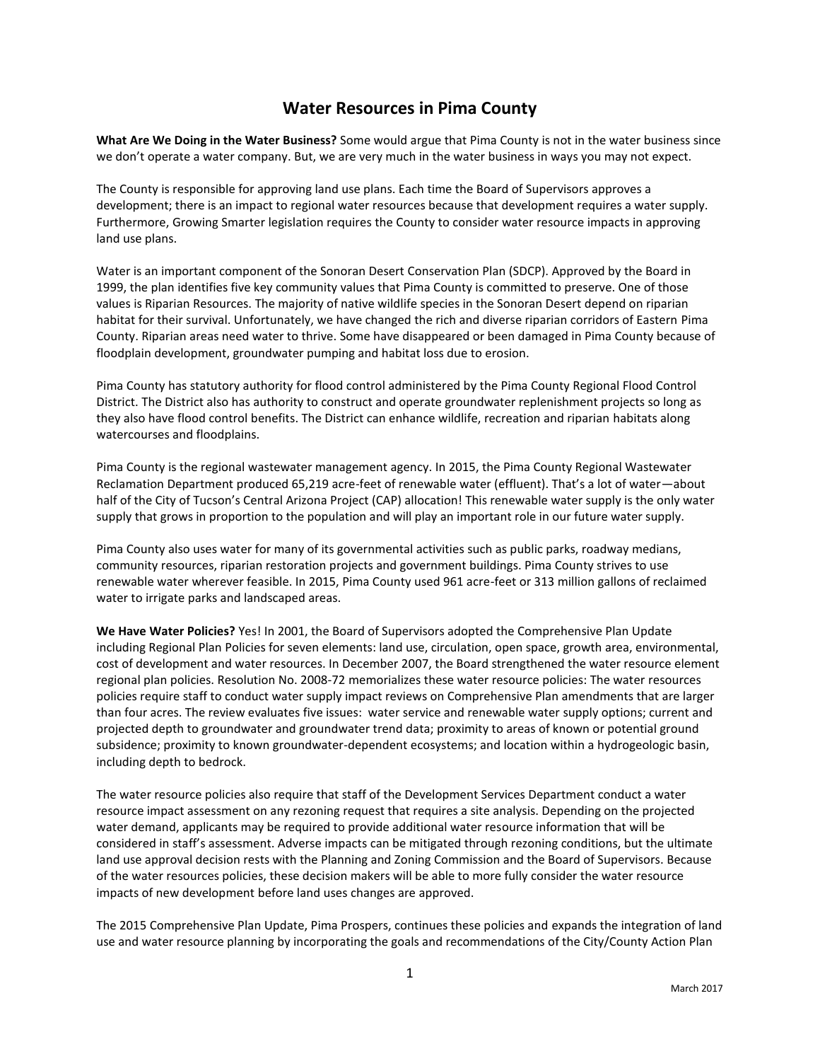## **Water Resources in Pima County**

**What Are We Doing in the Water Business?** Some would argue that Pima County is not in the water business since we don't operate a water company. But, we are very much in the water business in ways you may not expect.

The County is responsible for approving land use plans. Each time the Board of Supervisors approves a development; there is an impact to regional water resources because that development requires a water supply. Furthermore, Growing Smarter legislation requires the County to consider water resource impacts in approving land use plans.

Water is an important component of the Sonoran Desert Conservation Plan (SDCP). Approved by the Board in 1999, the plan identifies five key community values that Pima County is committed to preserve. One of those values is Riparian Resources. The majority of native wildlife species in the Sonoran Desert depend on riparian habitat for their survival. Unfortunately, we have changed the rich and diverse riparian corridors of Eastern Pima County. Riparian areas need water to thrive. Some have disappeared or been damaged in Pima County because of floodplain development, groundwater pumping and habitat loss due to erosion.

Pima County has statutory authority for flood control administered by the Pima County Regional Flood Control District. The District also has authority to construct and operate groundwater replenishment projects so long as they also have flood control benefits. The District can enhance wildlife, recreation and riparian habitats along watercourses and floodplains.

Pima County is the regional wastewater management agency. In 2015, the Pima County Regional Wastewater Reclamation Department produced 65,219 acre-feet of renewable water (effluent). That's a lot of water—about half of the City of Tucson's Central Arizona Project (CAP) allocation! This renewable water supply is the only water supply that grows in proportion to the population and will play an important role in our future water supply.

Pima County also uses water for many of its governmental activities such as public parks, roadway medians, community resources, riparian restoration projects and government buildings. Pima County strives to use renewable water wherever feasible. In 2015, Pima County used 961 acre-feet or 313 million gallons of reclaimed water to irrigate parks and landscaped areas.

**We Have Water Policies?** Yes! In 2001, the Board of Supervisors adopted the Comprehensive Plan Update including Regional Plan Policies for seven elements: land use, circulation, open space, growth area, environmental, cost of development and water resources. In December 2007, the Board strengthened the water resource element regional plan policies. Resolution No. 2008-72 memorializes these water resource policies: The water resources policies require staff to conduct water supply impact reviews on Comprehensive Plan amendments that are larger than four acres. The review evaluates five issues: water service and renewable water supply options; current and projected depth to groundwater and groundwater trend data; proximity to areas of known or potential ground subsidence; proximity to known groundwater-dependent ecosystems; and location within a hydrogeologic basin, including depth to bedrock.

The water resource policies also require that staff of the Development Services Department conduct a water resource impact assessment on any rezoning request that requires a site analysis. Depending on the projected water demand, applicants may be required to provide additional water resource information that will be considered in staff's assessment. Adverse impacts can be mitigated through rezoning conditions, but the ultimate land use approval decision rests with the Planning and Zoning Commission and the Board of Supervisors. Because of the water resources policies, these decision makers will be able to more fully consider the water resource impacts of new development before land uses changes are approved.

The 2015 Comprehensive Plan Update, Pima Prospers, continues these policies and expands the integration of land use and water resource planning by incorporating the goals and recommendations of the City/County Action Plan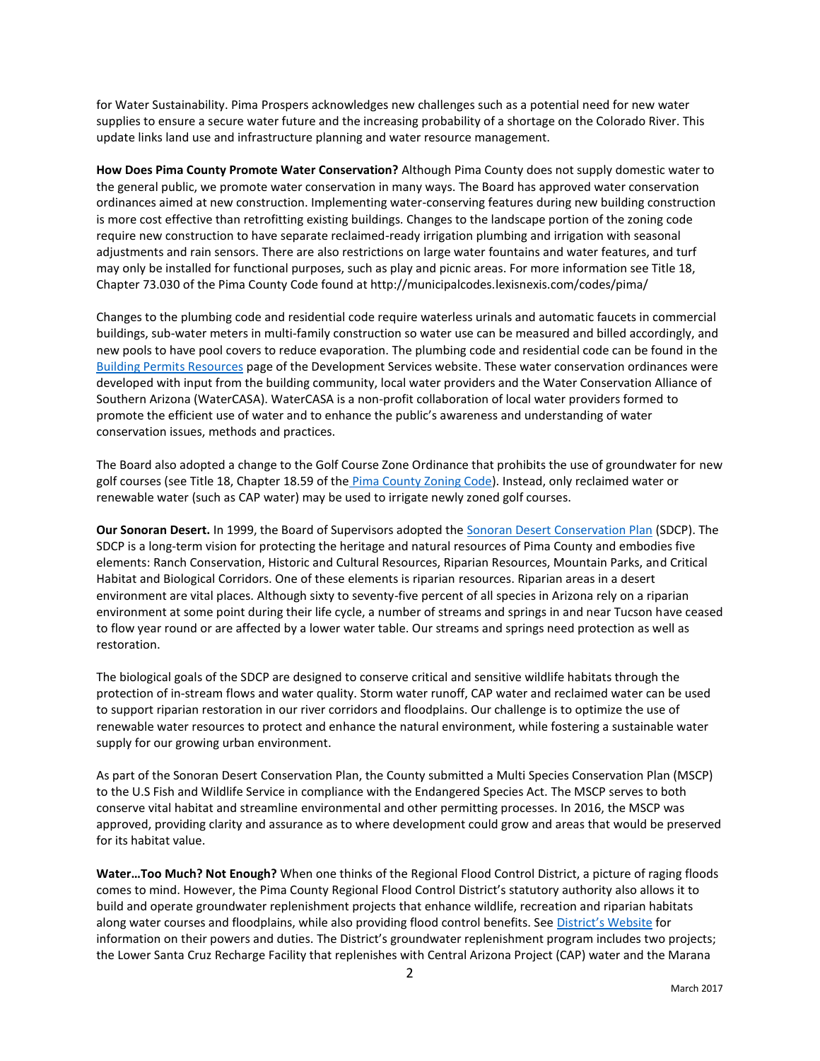for Water Sustainability. Pima Prospers acknowledges new challenges such as a potential need for new water supplies to ensure a secure water future and the increasing probability of a shortage on the Colorado River. This update links land use and infrastructure planning and water resource management.

**How Does Pima County Promote Water Conservation?** Although Pima County does not supply domestic water to the general public, we promote water conservation in many ways. The Board has approved water conservation ordinances aimed at new construction. Implementing water-conserving features during new building construction is more cost effective than retrofitting existing buildings. Changes to the landscape portion of the zoning code require new construction to have separate reclaimed-ready irrigation plumbing and irrigation with seasonal adjustments and rain sensors. There are also restrictions on large water fountains and water features, and turf may only be installed for functional purposes, such as play and picnic areas. For more information see Title 18, Chapter 73.030 of the Pima County Code found at http://municipalcodes.lexisnexis.com/codes/pima/

Changes to the plumbing code and residential code require waterless urinals and automatic faucets in commercial buildings, sub-water meters in multi-family construction so water use can be measured and billed accordingly, and new pools to have pool covers to reduce evaporation. The plumbing code and residential code can be found in the [Building Permits Resources](http://webcms.pima.gov/cms/One.aspx?portalId=169&pageId=258486) page of the Development Services website. These water conservation ordinances were developed with input from the building community, local water providers and the Water Conservation Alliance of Southern Arizona (WaterCASA). WaterCASA is a non-profit collaboration of local water providers formed to promote the efficient use of water and to enhance the public's awareness and understanding of water conservation issues, methods and practices.

The Board also adopted a change to the Golf Course Zone Ordinance that prohibits the use of groundwater for new golf courses (see Title 18, Chapter 18.59 of the [Pima County Zoning Code\)](https://www.municode.com/library/az/pima_county/codes/code_of_ordinances). Instead, only reclaimed water or renewable water (such as CAP water) may be used to irrigate newly zoned golf courses.

**Our Sonoran Desert.** In 1999, the Board of Supervisors adopted th[e Sonoran Desert Conservation Plan](https://webcms.pima.gov/cms/One.aspx?portalId=169&pageId=52654) (SDCP). The SDCP is a long-term vision for protecting the heritage and natural resources of Pima County and embodies five elements: Ranch Conservation, Historic and Cultural Resources, Riparian Resources, Mountain Parks, and Critical Habitat and Biological Corridors. One of these elements is riparian resources. Riparian areas in a desert environment are vital places. Although sixty to seventy-five percent of all species in Arizona rely on a riparian environment at some point during their life cycle, a number of streams and springs in and near Tucson have ceased to flow year round or are affected by a lower water table. Our streams and springs need protection as well as restoration.

The biological goals of the SDCP are designed to conserve critical and sensitive wildlife habitats through the protection of in-stream flows and water quality. Storm water runoff, CAP water and reclaimed water can be used to support riparian restoration in our river corridors and floodplains. Our challenge is to optimize the use of renewable water resources to protect and enhance the natural environment, while fostering a sustainable water supply for our growing urban environment.

As part of the Sonoran Desert Conservation Plan, the County submitted a Multi Species Conservation Plan (MSCP) to the U.S Fish and Wildlife Service in compliance with the Endangered Species Act. The MSCP serves to both conserve vital habitat and streamline environmental and other permitting processes. In 2016, the MSCP was approved, providing clarity and assurance as to where development could grow and areas that would be preserved for its habitat value.

**Water…Too Much? Not Enough?** When one thinks of the Regional Flood Control District, a picture of raging floods comes to mind. However, the Pima County Regional Flood Control District's statutory authority also allows it to build and operate groundwater replenishment projects that enhance wildlife, recreation and riparian habitats along water courses and floodplains, while also providing flood control benefits. See [District's Website](http://webcms.pima.gov/cms/one.aspx?portalId=169&pageId=65996) for information on their powers and duties. The District's groundwater replenishment program includes two projects; the Lower Santa Cruz Recharge Facility that replenishes with Central Arizona Project (CAP) water and the Marana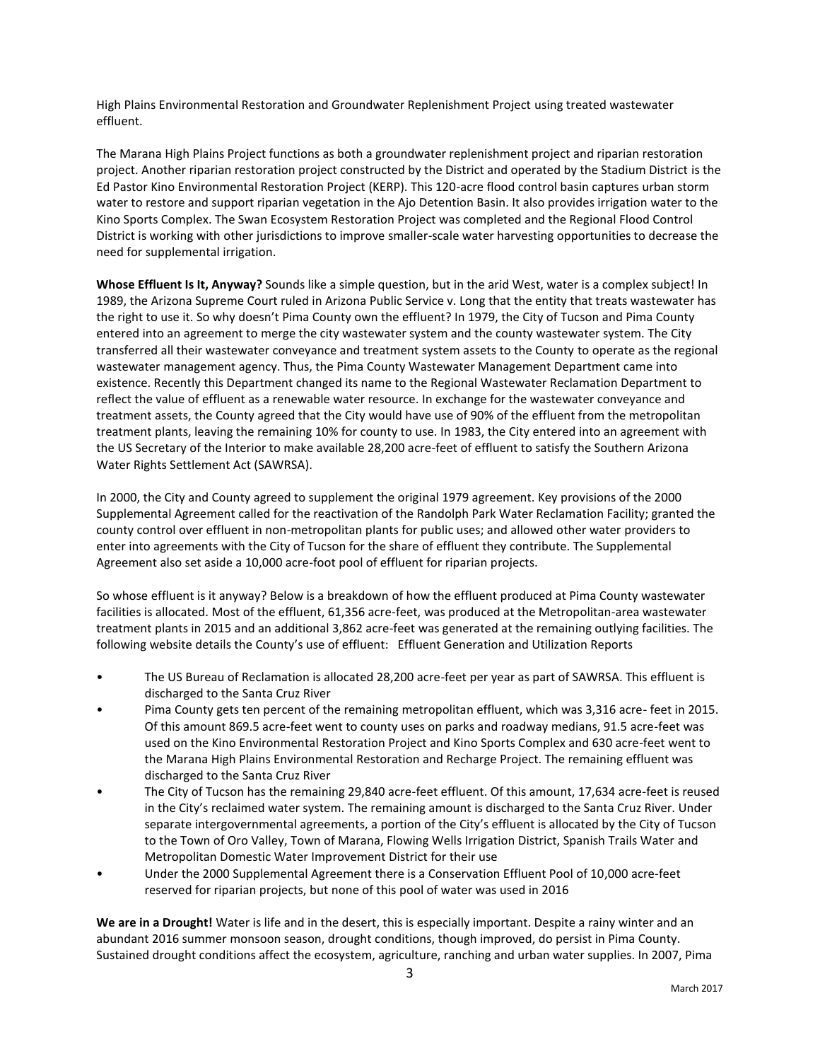High Plains Environmental Restoration and Groundwater Replenishment Project using treated wastewater effluent.

The Marana High Plains Project functions as both a groundwater replenishment project and riparian restoration project. Another riparian restoration project constructed by the District and operated by the Stadium District is the Ed Pastor Kino Environmental Restoration Project (KERP). This 120-acre flood control basin captures urban storm water to restore and support riparian vegetation in the Ajo Detention Basin. It also provides irrigation water to the Kino Sports Complex. The Swan Ecosystem Restoration Project was completed and the Regional Flood Control District is working with other jurisdictions to improve smaller-scale water harvesting opportunities to decrease the need for supplemental irrigation.

**Whose Effluent Is It, Anyway?** Sounds like a simple question, but in the arid West, water is a complex subject! In 1989, the Arizona Supreme Court ruled in Arizona Public Service v. Long that the entity that treats wastewater has the right to use it. So why doesn't Pima County own the effluent? In 1979, the City of Tucson and Pima County entered into an agreement to merge the city wastewater system and the county wastewater system. The City transferred all their wastewater conveyance and treatment system assets to the County to operate as the regional wastewater management agency. Thus, the Pima County Wastewater Management Department came into existence. Recently this Department changed its name to the Regional Wastewater Reclamation Department to reflect the value of effluent as a renewable water resource. In exchange for the wastewater conveyance and treatment assets, the County agreed that the City would have use of 90% of the effluent from the metropolitan treatment plants, leaving the remaining 10% for county to use. In 1983, the City entered into an agreement with the US Secretary of the Interior to make available 28,200 acre-feet of effluent to satisfy the Southern Arizona Water Rights Settlement Act (SAWRSA).

In 2000, the City and County agreed to supplement the original 1979 agreement. Key provisions of the 2000 Supplemental Agreement called for the reactivation of the Randolph Park Water Reclamation Facility; granted the county control over effluent in non-metropolitan plants for public uses; and allowed other water providers to enter into agreements with the City of Tucson for the share of effluent they contribute. The Supplemental Agreement also set aside a 10,000 acre-foot pool of effluent for riparian projects.

So whose effluent is it anyway? Below is a breakdown of how the effluent produced at Pima County wastewater facilities is allocated. Most of the effluent, 61,356 acre-feet, was produced at the Metropolitan-area wastewater treatment plants in 2015 and an additional 3,862 acre-feet was generated at the remaining outlying facilities. The following website details the County's use of effluent: Effluent Generation and Utilization Reports

- The US Bureau of Reclamation is allocated 28,200 acre-feet per year as part of SAWRSA. This effluent is discharged to the Santa Cruz River
- Pima County gets ten percent of the remaining metropolitan effluent, which was 3,316 acre- feet in 2015. Of this amount 869.5 acre-feet went to county uses on parks and roadway medians, 91.5 acre-feet was used on the Kino Environmental Restoration Project and Kino Sports Complex and 630 acre-feet went to the Marana High Plains Environmental Restoration and Recharge Project. The remaining effluent was discharged to the Santa Cruz River
- The City of Tucson has the remaining 29,840 acre-feet effluent. Of this amount, 17,634 acre-feet is reused in the City's reclaimed water system. The remaining amount is discharged to the Santa Cruz River. Under separate intergovernmental agreements, a portion of the City's effluent is allocated by the City of Tucson to the Town of Oro Valley, Town of Marana, Flowing Wells Irrigation District, Spanish Trails Water and Metropolitan Domestic Water Improvement District for their use
- Under the 2000 Supplemental Agreement there is a Conservation Effluent Pool of 10,000 acre-feet reserved for riparian projects, but none of this pool of water was used in 2016

**We are in a Drought!** Water is life and in the desert, this is especially important. Despite a rainy winter and an abundant 2016 summer monsoon season, drought conditions, though improved, do persist in Pima County. Sustained drought conditions affect the ecosystem, agriculture, ranching and urban water supplies. In 2007, Pima